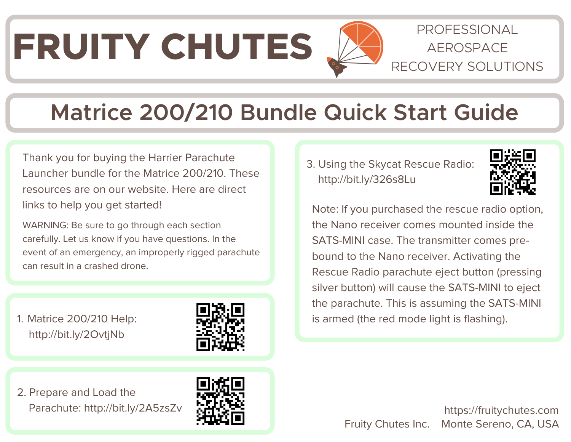# FRUITY CHUTES  $\sum$  **AEROSPACE**

#### PROFESSIONAL RECOVERY SOLUTIONS

## **Matrice 200/210 Bundle Quick Start Guide**

Thank you for buying the Harrier Parachute Launcher bundle for the Matrice 200/210. These resources are on our website. Here are direct links to help you get started!

WARNING: Be sure to go through each section carefully. Let us know if you have questions. In the event of an emergency, an improperly rigged parachute can result in a crashed drone.

1. Matrice 200/210 Help: <http://bit.ly/2OvtjNb>



2. Prepare and Load the Parachute: <http://bit.ly/2A5zsZv>



3. Using the Skycat Rescue Radio: http://[bit.ly/326s8Lu](http://bit.ly/326s8Lu)



Note: If you purchased the rescue radio option, the Nano receiver comes mounted inside the SATS-MINI case. The transmitter comes prebound to the Nano receiver. Activating the Rescue Radio parachute eject button (pressing silver button) will cause the SATS-MINI to eject the parachute. This is assuming the SATS-MINI is armed (the red mode light is flashing).

> Fruity Chutes Inc. Monte Sereno, CA, USA https://fruitychutes.com